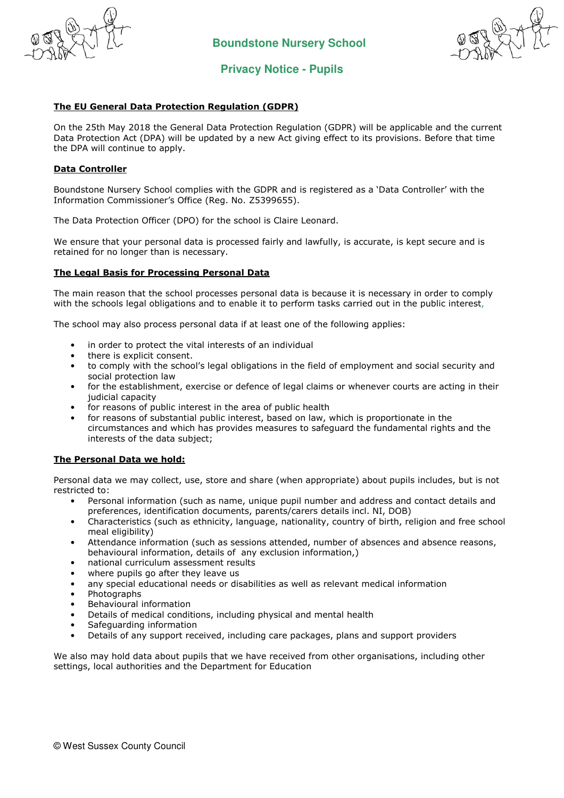



# **Privacy Notice - Pupils**

# The EU General Data Protection Regulation (GDPR)

On the 25th May 2018 the General Data Protection Regulation (GDPR) will be applicable and the current Data Protection Act (DPA) will be updated by a new Act giving effect to its provisions. Before that time the DPA will continue to apply.

## Data Controller

Boundstone Nursery School complies with the GDPR and is registered as a 'Data Controller' with the Information Commissioner's Office (Reg. No. Z5399655).

The Data Protection Officer (DPO) for the school is Claire Leonard.

We ensure that your personal data is processed fairly and lawfully, is accurate, is kept secure and is retained for no longer than is necessary.

## The Legal Basis for Processing Personal Data

The main reason that the school processes personal data is because it is necessary in order to comply with the schools legal obligations and to enable it to perform tasks carried out in the public interest,

The school may also process personal data if at least one of the following applies:

- in order to protect the vital interests of an individual
- there is explicit consent.
- to comply with the school's legal obligations in the field of employment and social security and social protection law
- for the establishment, exercise or defence of legal claims or whenever courts are acting in their judicial capacity
- for reasons of public interest in the area of public health
- for reasons of substantial public interest, based on law, which is proportionate in the circumstances and which has provides measures to safeguard the fundamental rights and the interests of the data subject;

#### The Personal Data we hold:

Personal data we may collect, use, store and share (when appropriate) about pupils includes, but is not restricted to:

- Personal information (such as name, unique pupil number and address and contact details and preferences, identification documents, parents/carers details incl. NI, DOB)
- Characteristics (such as ethnicity, language, nationality, country of birth, religion and free school meal eligibility)
- Attendance information (such as sessions attended, number of absences and absence reasons, behavioural information, details of any exclusion information,)
- national curriculum assessment results
- where pupils go after they leave us
- any special educational needs or disabilities as well as relevant medical information
- Photographs
- Behavioural information
- Details of medical conditions, including physical and mental health
- Safeguarding information
- Details of any support received, including care packages, plans and support providers

We also may hold data about pupils that we have received from other organisations, including other settings, local authorities and the Department for Education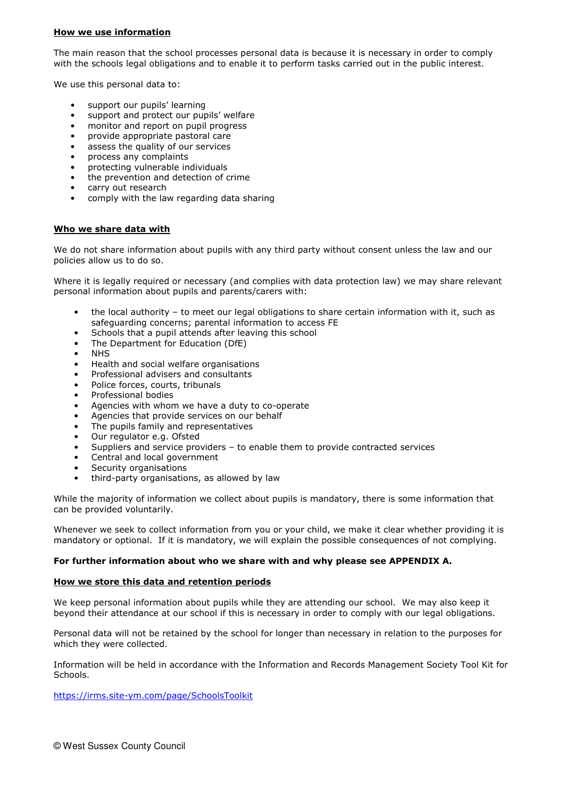# How we use information

The main reason that the school processes personal data is because it is necessary in order to comply with the schools legal obligations and to enable it to perform tasks carried out in the public interest.

We use this personal data to:

- support our pupils' learning
- support and protect our pupils' welfare
- monitor and report on pupil progress
- provide appropriate pastoral care
- assess the quality of our services
- process any complaints
- protecting vulnerable individuals
- the prevention and detection of crime
- carry out research
- comply with the law regarding data sharing

## Who we share data with

We do not share information about pupils with any third party without consent unless the law and our policies allow us to do so.

Where it is legally required or necessary (and complies with data protection law) we may share relevant personal information about pupils and parents/carers with:

- the local authority to meet our legal obligations to share certain information with it, such as safeguarding concerns; parental information to access FE
- Schools that a pupil attends after leaving this school
- The Department for Education (DfE)
- NHS
- Health and social welfare organisations
- Professional advisers and consultants
- Police forces, courts, tribunals
- Professional bodies
- Agencies with whom we have a duty to co-operate
- Agencies that provide services on our behalf
- The pupils family and representatives
- Our regulator e.g. Ofsted
- Suppliers and service providers to enable them to provide contracted services
- Central and local government
- Security organisations
- third-party organisations, as allowed by law

While the majority of information we collect about pupils is mandatory, there is some information that can be provided voluntarily.

Whenever we seek to collect information from you or your child, we make it clear whether providing it is mandatory or optional. If it is mandatory, we will explain the possible consequences of not complying.

#### For further information about who we share with and why please see APPENDIX A.

## How we store this data and retention periods

We keep personal information about pupils while they are attending our school. We may also keep it beyond their attendance at our school if this is necessary in order to comply with our legal obligations.

Personal data will not be retained by the school for longer than necessary in relation to the purposes for which they were collected.

Information will be held in accordance with the Information and Records Management Society Tool Kit for Schools.

https://irms.site-ym.com/page/SchoolsToolkit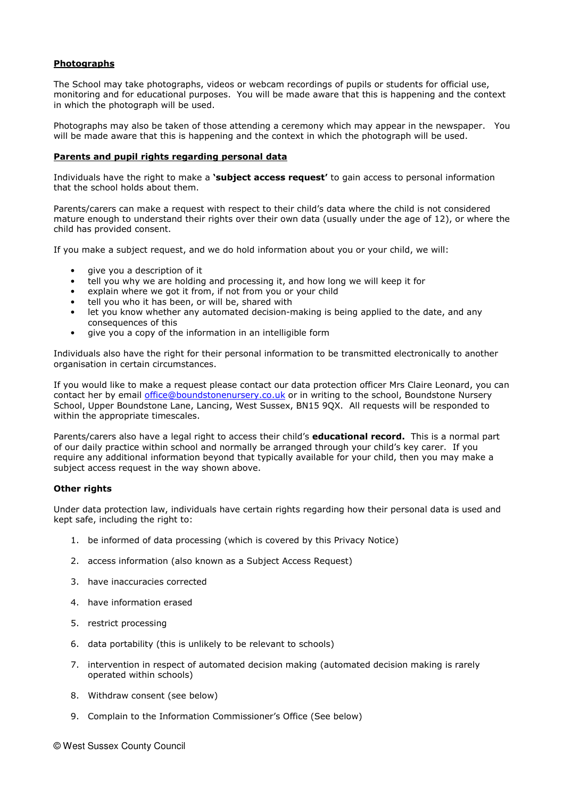## Photographs

The School may take photographs, videos or webcam recordings of pupils or students for official use, monitoring and for educational purposes. You will be made aware that this is happening and the context in which the photograph will be used.

Photographs may also be taken of those attending a ceremony which may appear in the newspaper. You will be made aware that this is happening and the context in which the photograph will be used.

#### Parents and pupil rights regarding personal data

Individuals have the right to make a **'subject access request'** to gain access to personal information that the school holds about them.

Parents/carers can make a request with respect to their child's data where the child is not considered mature enough to understand their rights over their own data (usually under the age of 12), or where the child has provided consent.

If you make a subject request, and we do hold information about you or your child, we will:

- give you a description of it
- tell you why we are holding and processing it, and how long we will keep it for
- explain where we got it from, if not from you or your child
- tell you who it has been, or will be, shared with
- let you know whether any automated decision-making is being applied to the date, and any consequences of this
- give you a copy of the information in an intelligible form

Individuals also have the right for their personal information to be transmitted electronically to another organisation in certain circumstances.

If you would like to make a request please contact our data protection officer Mrs Claire Leonard, you can contact her by email office@boundstonenursery.co.uk or in writing to the school, Boundstone Nursery School, Upper Boundstone Lane, Lancing, West Sussex, BN15 9QX. All requests will be responded to within the appropriate timescales.

Parents/carers also have a legal right to access their child's **educational record.** This is a normal part of our daily practice within school and normally be arranged through your child's key carer. If you require any additional information beyond that typically available for your child, then you may make a subject access request in the way shown above.

## Other rights

Under data protection law, individuals have certain rights regarding how their personal data is used and kept safe, including the right to:

- 1. be informed of data processing (which is covered by this Privacy Notice)
- 2. access information (also known as a Subject Access Request)
- 3. have inaccuracies corrected
- 4. have information erased
- 5. restrict processing
- 6. data portability (this is unlikely to be relevant to schools)
- 7. intervention in respect of automated decision making (automated decision making is rarely operated within schools)
- 8. Withdraw consent (see below)
- 9. Complain to the Information Commissioner's Office (See below)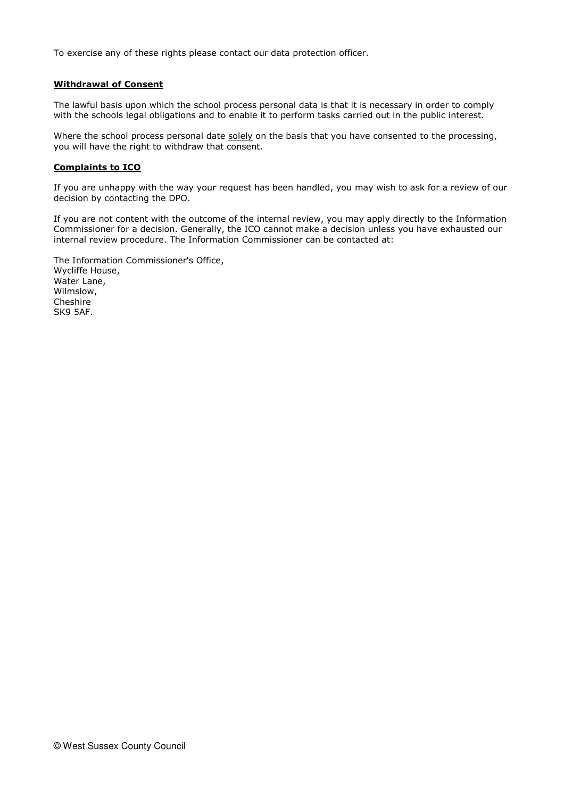To exercise any of these rights please contact our data protection officer.

## Withdrawal of Consent

The lawful basis upon which the school process personal data is that it is necessary in order to comply with the schools legal obligations and to enable it to perform tasks carried out in the public interest.

Where the school process personal date solely on the basis that you have consented to the processing, you will have the right to withdraw that consent.

#### Complaints to ICO

If you are unhappy with the way your request has been handled, you may wish to ask for a review of our decision by contacting the DPO.

If you are not content with the outcome of the internal review, you may apply directly to the Information Commissioner for a decision. Generally, the ICO cannot make a decision unless you have exhausted our internal review procedure. The Information Commissioner can be contacted at:

The Information Commissioner's Office, Wycliffe House, Water Lane, Wilmslow, Cheshire SK9 5AF.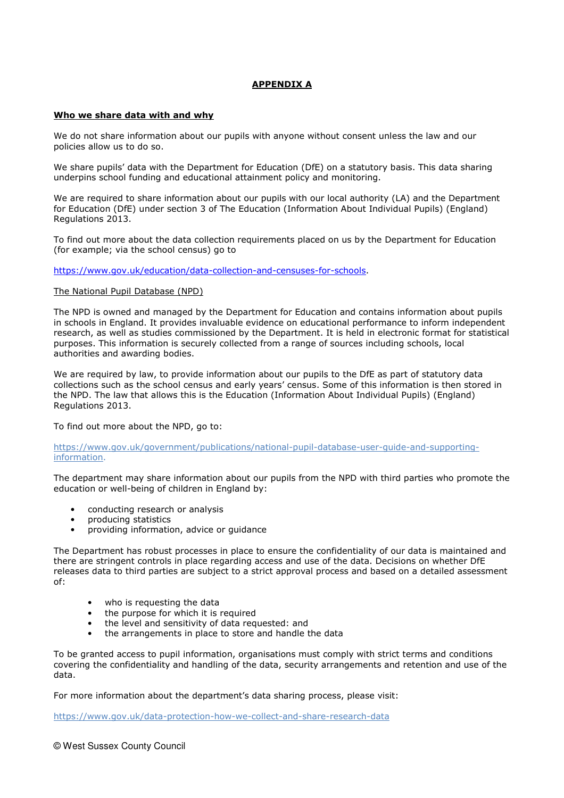# APPENDIX A

## Who we share data with and why

We do not share information about our pupils with anyone without consent unless the law and our policies allow us to do so.

We share pupils' data with the Department for Education (DfE) on a statutory basis. This data sharing underpins school funding and educational attainment policy and monitoring.

We are required to share information about our pupils with our local authority (LA) and the Department for Education (DfE) under section 3 of The Education (Information About Individual Pupils) (England) Regulations 2013.

To find out more about the data collection requirements placed on us by the Department for Education (for example; via the school census) go to

https://www.gov.uk/education/data-collection-and-censuses-for-schools.

#### The National Pupil Database (NPD)

The NPD is owned and managed by the Department for Education and contains information about pupils in schools in England. It provides invaluable evidence on educational performance to inform independent research, as well as studies commissioned by the Department. It is held in electronic format for statistical purposes. This information is securely collected from a range of sources including schools, local authorities and awarding bodies.

We are required by law, to provide information about our pupils to the DfE as part of statutory data collections such as the school census and early years' census. Some of this information is then stored in the NPD. The law that allows this is the Education (Information About Individual Pupils) (England) Regulations 2013.

To find out more about the NPD, go to:

https://www.gov.uk/government/publications/national-pupil-database-user-guide-and-supportinginformation.

The department may share information about our pupils from the NPD with third parties who promote the education or well-being of children in England by:

- conducting research or analysis
- producing statistics
- providing information, advice or guidance

The Department has robust processes in place to ensure the confidentiality of our data is maintained and there are stringent controls in place regarding access and use of the data. Decisions on whether DfE releases data to third parties are subject to a strict approval process and based on a detailed assessment of:

- who is requesting the data
- the purpose for which it is required
- the level and sensitivity of data requested: and
- the arrangements in place to store and handle the data

To be granted access to pupil information, organisations must comply with strict terms and conditions covering the confidentiality and handling of the data, security arrangements and retention and use of the data.

For more information about the department's data sharing process, please visit:

https://www.gov.uk/data-protection-how-we-collect-and-share-research-data